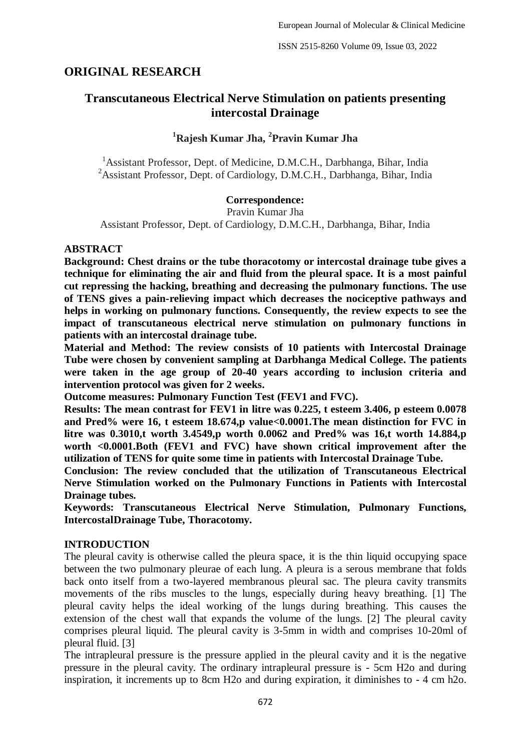# **ORIGINAL RESEARCH**

# **Transcutaneous Electrical Nerve Stimulation on patients presenting intercostal Drainage**

# **<sup>1</sup>Rajesh Kumar Jha, <sup>2</sup> Pravin Kumar Jha**

<sup>1</sup>Assistant Professor, Dept. of Medicine, D.M.C.H., Darbhanga, Bihar, India <sup>2</sup>Assistant Professor, Dept. of Cardiology, D.M.C.H., Darbhanga, Bihar, India

#### **Correspondence:**

Pravin Kumar Jha Assistant Professor, Dept. of Cardiology, D.M.C.H., Darbhanga, Bihar, India

#### **ABSTRACT**

**Background: Chest drains or the tube thoracotomy or intercostal drainage tube gives a technique for eliminating the air and fluid from the pleural space. It is a most painful cut repressing the hacking, breathing and decreasing the pulmonary functions. The use of TENS gives a pain-relieving impact which decreases the nociceptive pathways and helps in working on pulmonary functions. Consequently, the review expects to see the impact of transcutaneous electrical nerve stimulation on pulmonary functions in patients with an intercostal drainage tube.**

**Material and Method: The review consists of 10 patients with Intercostal Drainage Tube were chosen by convenient sampling at Darbhanga Medical College. The patients were taken in the age group of 20-40 years according to inclusion criteria and intervention protocol was given for 2 weeks.**

**Outcome measures: Pulmonary Function Test (FEV1 and FVC).**

**Results: The mean contrast for FEV1 in litre was 0.225, t esteem 3.406, p esteem 0.0078 and Pred% were 16, t esteem 18.674,p value<0.0001.The mean distinction for FVC in litre was 0.3010,t worth 3.4549,p worth 0.0062 and Pred% was 16,t worth 14.884,p worth <0.0001.Both (FEV1 and FVC) have shown critical improvement after the utilization of TENS for quite some time in patients with Intercostal Drainage Tube.**

**Conclusion: The review concluded that the utilization of Transcutaneous Electrical Nerve Stimulation worked on the Pulmonary Functions in Patients with Intercostal Drainage tubes.**

**Keywords: Transcutaneous Electrical Nerve Stimulation, Pulmonary Functions, IntercostalDrainage Tube, Thoracotomy.**

#### **INTRODUCTION**

The pleural cavity is otherwise called the pleura space, it is the thin liquid occupying space between the two pulmonary pleurae of each lung. A pleura is a serous membrane that folds back onto itself from a two-layered membranous pleural sac. The pleura cavity transmits movements of the ribs muscles to the lungs, especially during heavy breathing. [1] The pleural cavity helps the ideal working of the lungs during breathing. This causes the extension of the chest wall that expands the volume of the lungs. [2] The pleural cavity comprises pleural liquid. The pleural cavity is 3-5mm in width and comprises 10-20ml of pleural fluid. [3]

The intrapleural pressure is the pressure applied in the pleural cavity and it is the negative pressure in the pleural cavity. The ordinary intrapleural pressure is - 5cm H2o and during inspiration, it increments up to 8cm H2o and during expiration, it diminishes to - 4 cm h2o.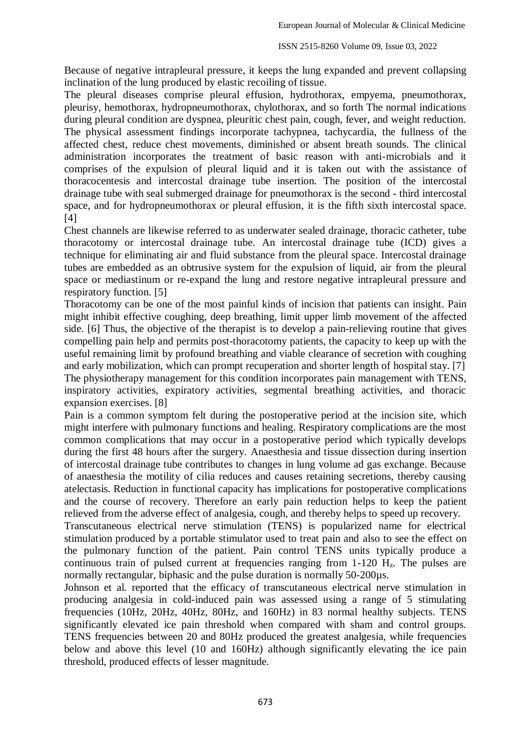Because of negative intrapleural pressure, it keeps the lung expanded and prevent collapsing inclination of the lung produced by elastic recoiling of tissue.

The pleural diseases comprise pleural effusion, hydrothorax, empyema, pneumothorax, pleurisy, hemothorax, hydropneumothorax, chylothorax, and so forth The normal indications during pleural condition are dyspnea, pleuritic chest pain, cough, fever, and weight reduction. The physical assessment findings incorporate tachypnea, tachycardia, the fullness of the affected chest, reduce chest movements, diminished or absent breath sounds. The clinical administration incorporates the treatment of basic reason with anti-microbials and it comprises of the expulsion of pleural liquid and it is taken out with the assistance of thoracocentesis and intercostal drainage tube insertion. The position of the intercostal drainage tube with seal submerged drainage for pneumothorax is the second - third intercostal space, and for hydropneumothorax or pleural effusion, it is the fifth sixth intercostal space.  $[4]$ 

Chest channels are likewise referred to as underwater sealed drainage, thoracic catheter, tube thoracotomy or intercostal drainage tube. An intercostal drainage tube (ICD) gives a technique for eliminating air and fluid substance from the pleural space. Intercostal drainage tubes are embedded as an obtrusive system for the expulsion of liquid, air from the pleural space or mediastinum or re-expand the lung and restore negative intrapleural pressure and respiratory function. [5]

Thoracotomy can be one of the most painful kinds of incision that patients can insight. Pain might inhibit effective coughing, deep breathing, limit upper limb movement of the affected side. [6] Thus, the objective of the therapist is to develop a pain-relieving routine that gives compelling pain help and permits post-thoracotomy patients, the capacity to keep up with the useful remaining limit by profound breathing and viable clearance of secretion with coughing and early mobilization, which can prompt recuperation and shorter length of hospital stay. [7] The physiotherapy management for this condition incorporates pain management with TENS, inspiratory activities, expiratory activities, segmental breathing activities, and thoracic expansion exercises. [8]

Pain is a common symptom felt during the postoperative period at the incision site, which might interfere with pulmonary functions and healing. Respiratory complications are the most common complications that may occur in a postoperative period which typically develops during the first 48 hours after the surgery. Anaesthesia and tissue dissection during insertion of intercostal drainage tube contributes to changes in lung volume ad gas exchange. Because of anaesthesia the motility of cilia reduces and causes retaining secretions, thereby causing atelectasis. Reduction in functional capacity has implications for postoperative complications and the course of recovery. Therefore an early pain reduction helps to keep the patient relieved from the adverse effect of analgesia, cough, and thereby helps to speed up recovery.

Transcutaneous electrical nerve stimulation (TENS) is popularized name for electrical stimulation produced by a portable stimulator used to treat pain and also to see the effect on the pulmonary function of the patient. Pain control TENS units typically produce a continuous train of pulsed current at frequencies ranging from  $1-120$  H<sub>z</sub>. The pulses are normally rectangular, biphasic and the pulse duration is normally 50-200µs.

Johnson et al. reported that the efficacy of transcutaneous electrical nerve stimulation in producing analgesia in cold-induced pain was assessed using a range of 5 stimulating frequencies (10Hz, 20Hz, 40Hz, 80Hz, and 160Hz) in 83 normal healthy subjects. TENS significantly elevated ice pain threshold when compared with sham and control groups. TENS frequencies between 20 and 80Hz produced the greatest analgesia, while frequencies below and above this level (10 and 160Hz) although significantly elevating the ice pain threshold, produced effects of lesser magnitude.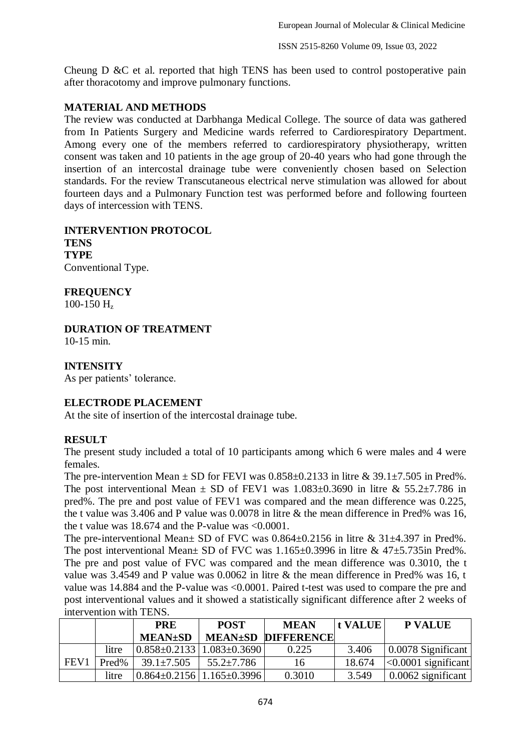Cheung D &C et al. reported that high TENS has been used to control postoperative pain after thoracotomy and improve pulmonary functions.

## **MATERIAL AND METHODS**

The review was conducted at Darbhanga Medical College. The source of data was gathered from In Patients Surgery and Medicine wards referred to Cardiorespiratory Department. Among every one of the members referred to cardiorespiratory physiotherapy, written consent was taken and 10 patients in the age group of 20-40 years who had gone through the insertion of an intercostal drainage tube were conveniently chosen based on Selection standards. For the review Transcutaneous electrical nerve stimulation was allowed for about fourteen days and a Pulmonary Function test was performed before and following fourteen days of intercession with TENS.

**INTERVENTION PROTOCOL TENS TYPE** Conventional Type.

**FREQUENCY**

100-150  $H_z$ 

# **DURATION OF TREATMENT**

10-15 min.

**INTENSITY**

As per patients' tolerance.

# **ELECTRODE PLACEMENT**

At the site of insertion of the intercostal drainage tube.

# **RESULT**

The present study included a total of 10 participants among which 6 were males and 4 were females.

The pre-intervention Mean  $\pm$  SD for FEVI was  $0.858\pm0.2133$  in litre & 39.1 $\pm$ 7.505 in Pred%. The post interventional Mean  $\pm$  SD of FEV1 was 1.083 $\pm$ 0.3690 in litre & 55.2 $\pm$ 7.786 in pred%. The pre and post value of FEV1 was compared and the mean difference was 0.225, the t value was 3.406 and P value was 0.0078 in litre & the mean difference in Pred% was 16, the t value was 18.674 and the P-value was <0.0001.

The pre-interventional Mean± SD of FVC was  $0.864 \pm 0.2156$  in litre &  $31 \pm 4.397$  in Pred%. The post interventional Mean $\pm$  SD of FVC was 1.165 $\pm$ 0.3996 in litre & 47 $\pm$ 5.735in Pred%. The pre and post value of FVC was compared and the mean difference was 0.3010, the t value was 3.4549 and P value was 0.0062 in litre & the mean difference in Pred% was 16, t value was 14.884 and the P-value was <0.0001. Paired t-test was used to compare the pre and post interventional values and it showed a statistically significant difference after 2 weeks of intervention with TENS.

|                  |       | <b>PRE</b>                                    | <b>POST</b>      | <b>MEAN</b>               | <b>t</b> VALUE | <b>P VALUE</b>             |
|------------------|-------|-----------------------------------------------|------------------|---------------------------|----------------|----------------------------|
|                  |       | $MEAN\pm SD$                                  |                  | <b>MEAN±SD DIFFERENCE</b> |                |                            |
|                  | litre | $0.858 \pm 0.2133 \mid 1.083 \pm 0.3690 \mid$ |                  | 0.225                     | 3.406          | $\vert$ 0.0078 Significant |
| FEV <sub>1</sub> | Pred% | $39.1 \pm 7.505$                              | $55.2 \pm 7.786$ | 16                        | 18.674         | $ <0.0001$ significant     |
|                  | litre | $0.864 \pm 0.2156$   1.165 $\pm$ 0.3996       |                  | 0.3010                    | 3.549          | $\vert$ 0.0062 significant |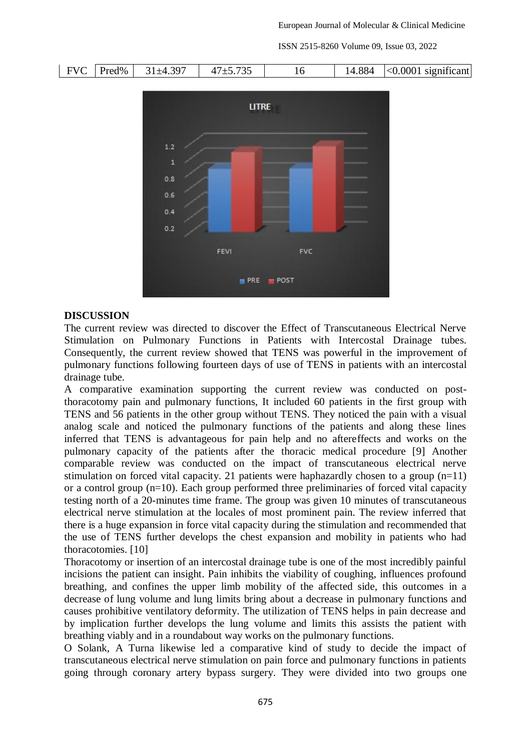ISSN 2515-8260 Volume 09, Issue 03, 2022

|  | $FVC$ Pred% | $31\pm4.397$ | $47 + 5.735$ |  | 14.884 | $\vert$ <0.0001 significant |
|--|-------------|--------------|--------------|--|--------|-----------------------------|
|--|-------------|--------------|--------------|--|--------|-----------------------------|



#### **DISCUSSION**

The current review was directed to discover the Effect of Transcutaneous Electrical Nerve Stimulation on Pulmonary Functions in Patients with Intercostal Drainage tubes. Consequently, the current review showed that TENS was powerful in the improvement of pulmonary functions following fourteen days of use of TENS in patients with an intercostal drainage tube.

A comparative examination supporting the current review was conducted on postthoracotomy pain and pulmonary functions, It included 60 patients in the first group with TENS and 56 patients in the other group without TENS. They noticed the pain with a visual analog scale and noticed the pulmonary functions of the patients and along these lines inferred that TENS is advantageous for pain help and no aftereffects and works on the pulmonary capacity of the patients after the thoracic medical procedure [9] Another comparable review was conducted on the impact of transcutaneous electrical nerve stimulation on forced vital capacity. 21 patients were haphazardly chosen to a group  $(n=11)$ or a control group (n=10). Each group performed three preliminaries of forced vital capacity testing north of a 20-minutes time frame. The group was given 10 minutes of transcutaneous electrical nerve stimulation at the locales of most prominent pain. The review inferred that there is a huge expansion in force vital capacity during the stimulation and recommended that the use of TENS further develops the chest expansion and mobility in patients who had thoracotomies. [10]

Thoracotomy or insertion of an intercostal drainage tube is one of the most incredibly painful incisions the patient can insight. Pain inhibits the viability of coughing, influences profound breathing, and confines the upper limb mobility of the affected side, this outcomes in a decrease of lung volume and lung limits bring about a decrease in pulmonary functions and causes prohibitive ventilatory deformity. The utilization of TENS helps in pain decrease and by implication further develops the lung volume and limits this assists the patient with breathing viably and in a roundabout way works on the pulmonary functions.

O Solank, A Turna likewise led a comparative kind of study to decide the impact of transcutaneous electrical nerve stimulation on pain force and pulmonary functions in patients going through coronary artery bypass surgery. They were divided into two groups one